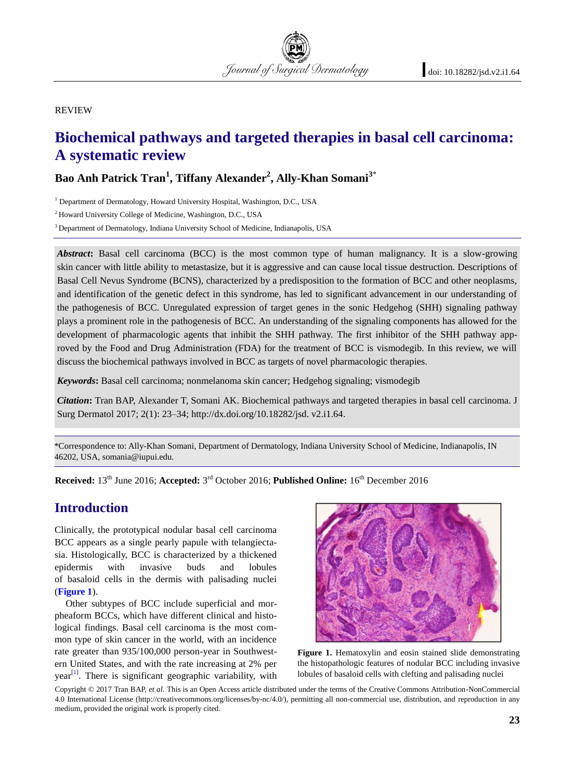REVIEW

# **Biochemical pathways and targeted therapies in basal cell carcinoma: A systematic review**

Journal of Surgical Dermatology

# **Bao Anh Patrick Tran<sup>1</sup> , Tiffany Alexander<sup>2</sup> , Ally-Khan Somani<sup>3</sup>**\*

<sup>1</sup> Department of Dermatology, Howard University Hospital, Washington, D.C., USA

<sup>2</sup> Howard University College of Medicine, Washington, D.C., USA

<sup>3</sup> Department of Dermatology, Indiana University School of Medicine, Indianapolis, USA

*Abstract:* Basal cell carcinoma (BCC) is the most common type of human malignancy. It is a slow-growing skin cancer with little ability to metastasize, but it is aggressive and can cause local tissue destruction. Descriptions of Basal Cell Nevus Syndrome (BCNS), characterized by a predisposition to the formation of BCC and other neoplasms, and identification of the genetic defect in this syndrome, has led to significant advancement in our understanding of the pathogenesis of BCC. Unregulated expression of target genes in the sonic Hedgehog (SHH) signaling pathway plays a prominent role in the pathogenesis of BCC. An understanding of the signaling components has allowed for the development of pharmacologic agents that inhibit the SHH pathway. The first inhibitor of the SHH pathway approved by the Food and Drug Administration (FDA) for the treatment of BCC is vismodegib. In this review, we will discuss the biochemical pathways involved in BCC as targets of novel pharmacologic therapies.

*Keywords:* Easal cell carcinoma; nonmelanoma skin cancer; Hedgehog signaling; vismodegib

*Citation:* Tran BAP, Alexander T, Somani AK. Biochemical pathways and targeted therapies in basal cell carcinoma. J Surg Dermatol 20; (): ; http://dx.doi.org/10.18282/jsd.v .i.64.

\*Correspondence to: Ally-Khan Somani, Department of Dermatology, Indiana University School of Medicine, ,OGLDODSROL46202, USA, somania@iupui.edu

**Received**: 18<sup>th</sup> November 2020; **Accepted**: 15<sup>th</sup> Febuary 2021; **Published Online**: 9<sup>th</sup> March 2021

### **Introduction**

Clinically, the prototypical nodular basal cell carcinoma BCC appears as a single pearly papule with telangiectasia. Histologically, BCC is characterized by a thickened epidermis with invasive buds and lobules of basaloid cells in the dermis with palisading nuclei (**[Figure 1](#page-0-0)**).

Other subtypes of BCC include superficial and morpheaform BCCs, which have different clinical and histological findings. Basal cell carcinoma is the most common type of skin cancer in the world, with an incidence rate greater than 935/100,000 person-year in Southwestern United States, and with the rate increasing at 2% per  $year<sup>[1]</sup>$  $year<sup>[1]</sup>$  $year<sup>[1]</sup>$ . There is significant geographic variability, with

<span id="page-0-0"></span>

Figure 1. Hematoxylin and eosin stained slide demonstrating the histopathologic features of nodular BCC including invasive lobules of basaloid cells with clefting and palisading nuclei

Copyright © 2021 Tran BAP, *et al.* This is an Open Access article distributed under the terms of the Creative Commons Attribution-NonCommercial 4.0 International License (http://creativecommons.org/licenses/by-nc/4.0/), permitting all non-commercial use, distribution, and reproduction in any medium, provided the original work is properly cited.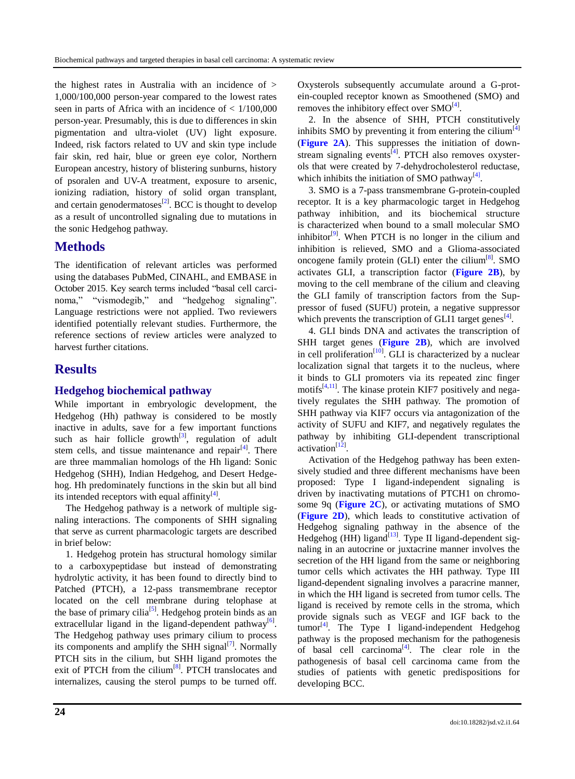the highest rates in Australia with an incidence of > 1,000/100,000 person-year compared to the lowest rates seen in parts of Africa with an incidence of  $< 1/100,000$ person-year. Presumably, this is due to differences in skin pigmentation and ultra-violet (UV) light exposure. Indeed, risk factors related to UV and skin type include fair skin, red hair, blue or green eye color, Northern European ancestry, history of blistering sunburns, history of psoralen and UV-A treatment, exposure to arsenic, ionizing radiation, history of solid organ transplant, and certain genodermatoses $^{[2]}$  $^{[2]}$  $^{[2]}$ . BCC is thought to develop as a result of uncontrolled signaling due to mutations in the sonic Hedgehog pathway.

# **Methods**

The identification of relevant articles was performed using the databases PubMed, CINAHL, and EMBASE in October 2015. Key search terms included "basal cell carcinoma," "vismodegib," and "hedgehog signaling". Language restrictions were not applied. Two reviewers identified potentially relevant studies. Furthermore, the reference sections of review articles were analyzed to harvest further citations.

## **Results**

#### **Hedgehog biochemical pathway**

While important in embryologic development, the Hedgehog (Hh) pathway is considered to be mostly inactive in adults, save for a few important functions such as hair follicle growth $[3]$ , regulation of adult stem cells, and tissue maintenance and repair<sup>[\[4\]](#page-7-3)</sup>. There are three mammalian homologs of the Hh ligand: Sonic Hedgehog (SHH), Indian Hedgehog, and Desert Hedgehog. Hh predominately functions in the skin but all bind its intended receptors with equal affinity<sup>[\[4\]](#page-7-3)</sup>.

The Hedgehog pathway is a network of multiple signaling interactions. The components of SHH signaling that serve as current pharmacologic targets are described in brief below:

1. Hedgehog protein has structural homology similar to a carboxypeptidase but instead of demonstrating hydrolytic activity, it has been found to directly bind to Patched (PTCH), a 12-pass transmembrane receptor located on the cell membrane during telophase at the base of primary cilia<sup>[\[5\]](#page-7-4)</sup>. Hedgehog protein binds as an extracellular ligand in the ligand-dependent pathway<sup>[\[6\]](#page-7-5)</sup>. The Hedgehog pathway uses primary cilium to process its components and amplify the SHH signal $[7]$ . Normally PTCH sits in the cilium, but SHH ligand promotes the exit of PTCH from the cilium<sup>[8]</sup>. PTCH translocates and internalizes, causing the sterol pumps to be turned off.

Oxysterols subsequently accumulate around a G-protein-coupled receptor known as Smoothened (SMO) and removes the inhibitory effect over  $SMO^{[4]}$  $SMO^{[4]}$  $SMO^{[4]}$ .

2. In the absence of SHH, PTCH constitutively inhibits SMO by preventing it from entering the cilium<sup>[\[4\]](#page-7-3)</sup> (**[Figure 2A](#page-2-0)**). This suppresses the initiation of down-stream signaling events<sup>[\[4\]](#page-7-3)</sup>. PTCH also removes oxysterols that were created by 7-dehydrocholesterol reductase, which inhibits the initiation of SMO pathway $^{[4]}$  $^{[4]}$  $^{[4]}$ .

3. SMO is a 7-pass transmembrane G-protein-coupled receptor. It is a key pharmacologic target in Hedgehog pathway inhibition, and its biochemical structure is characterized when bound to a small molecular SMO inhibitor<sup>[\[9\]](#page-7-6)</sup>. When PTCH is no longer in the cilium and inhibition is relieved, SMO and a Glioma-associated oncogene family protein (GLI) enter the cilium $[8]$ . SMO activates GLI, a transcription factor (**[Figure 2B](#page-2-0)**), by moving to the cell membrane of the cilium and cleaving the GLI family of transcription factors from the Suppressor of fused (SUFU) protein, a negative suppressor which prevents the transcription of GLI1 target genes<sup>[\[4\]](#page-7-3)</sup>.

4. GLI binds DNA and activates the transcription of SHH target genes (**[Figure 2B](#page-2-0)**), which are involved in cell proliferation<sup>[10]</sup>. GLI is characterized by a nuclear localization signal that targets it to the nucleus, where it binds to GLI promoters via its repeated zinc finger motifs $[4,11]$  $[4,11]$ . The kinase protein KIF7 positively and negatively regulates the SHH pathway. The promotion of SHH pathway via KIF7 occurs via antagonization of the activity of SUFU and KIF7, and negatively regulates the pathway by inhibiting GLI-dependent transcriptional activation<sup>[\[12\]](#page-8-1)</sup>.

Activation of the Hedgehog pathway has been extensively studied and three different mechanisms have been proposed: Type I ligand-independent signaling is driven by inactivating mutations of PTCH1 on chromosome 9q (**[Figure 2C](#page-2-0)**), or activating mutations of SMO (**[Figure 2D](#page-2-0)**), which leads to constitutive activation of Hedgehog signaling pathway in the absence of the Hedgehog (HH) ligand $^{[13]}$  $^{[13]}$  $^{[13]}$ . Type II ligand-dependent signaling in an autocrine or juxtacrine manner involves the secretion of the HH ligand from the same or neighboring tumor cells which activates the HH pathway. Type III ligand-dependent signaling involves a paracrine manner, in which the HH ligand is secreted from tumor cells. The ligand is received by remote cells in the stroma, which provide signals such as VEGF and IGF back to the  ${\rm tumor}^{\lceil 4 \rceil}$ . The Type I ligand-independent Hedgehog pathway is the proposed mechanism for the pathogenesis of basal cell carcinoma<sup>[\[4\]](#page-7-3)</sup>. The clear role in the pathogenesis of basal cell carcinoma came from the studies of patients with genetic predispositions for developing BCC.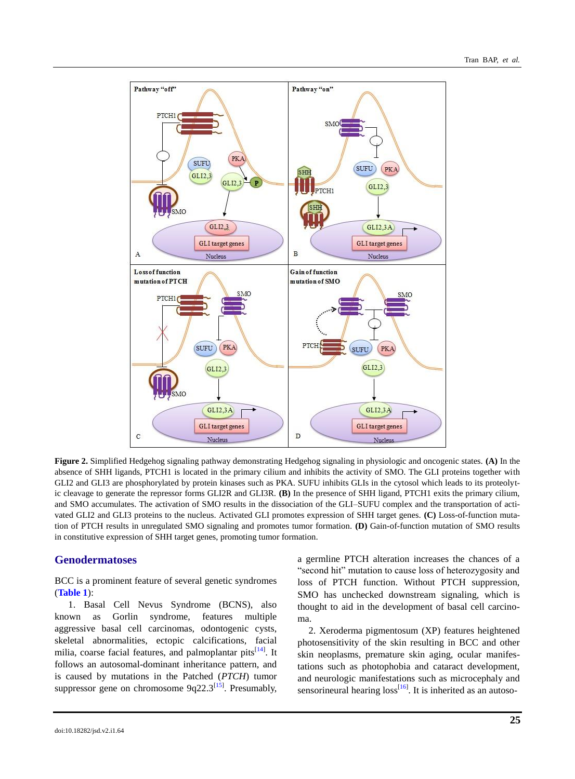<span id="page-2-0"></span>

**Figure 2.** Simplified Hedgehog signaling pathway demonstrating Hedgehog signaling in physiologic and oncogenic states. **(A)** In the absence of SHH ligands, PTCH1 is located in the primary cilium and inhibits the activity of SMO. The GLI proteins together with GLI2 and GLI3 are phosphorylated by protein kinases such as PKA. SUFU inhibits GLIs in the cytosol which leads to its proteolytic cleavage to generate the repressor forms GLI2R and GLI3R. **(B)** In the presence of SHH ligand, PTCH1 exits the primary cilium, and SMO accumulates. The activation of SMO results in the dissociation of the GLI–SUFU complex and the transportation of activated GLI2 and GLI3 proteins to the nucleus. Activated GLI promotes expression of SHH target genes. **(C)** Loss-of-function mutation of PTCH results in unregulated SMO signaling and promotes tumor formation. **(D)** Gain-of-function mutation of SMO results in constitutive expression of SHH target genes, promoting tumor formation.

#### **Genodermatoses**

BCC is a prominent feature of several genetic syndromes (**[Table 1](#page-2-1)**):

1. Basal Cell Nevus Syndrome (BCNS), also known as Gorlin syndrome, features multiple aggressive basal cell carcinomas, odontogenic cysts, skeletal abnormalities, ectopic calcifications, facial milia, coarse facial features, and palmoplantar pits<sup>[\[14\]](#page-8-3)</sup>. It follows an autosomal-dominant inheritance pattern, and is caused by mutations in the Patched (*PTCH*) tumor suppressor gene on chromosome  $9q22.3^{[15]}$  $9q22.3^{[15]}$  $9q22.3^{[15]}$ . Presumably, a germline PTCH alteration increases the chances of a Second hit" mutation to cause loss of heterozygosity and loss of PTCH function. Without PTCH suppression, SMO has unchecked downstream signaling, which is thought to aid in the development of basal cell carcinoma.

<span id="page-2-1"></span>2. Xeroderma pigmentosum (XP) features heightened photosensitivity of the skin resulting in BCC and other skin neoplasms, premature skin aging, ocular manifestations such as photophobia and cataract development, and neurologic manifestations such as microcephaly and sensorineural hearing  $loss^{[16]}$  $loss^{[16]}$  $loss^{[16]}$ . It is inherited as an autoso-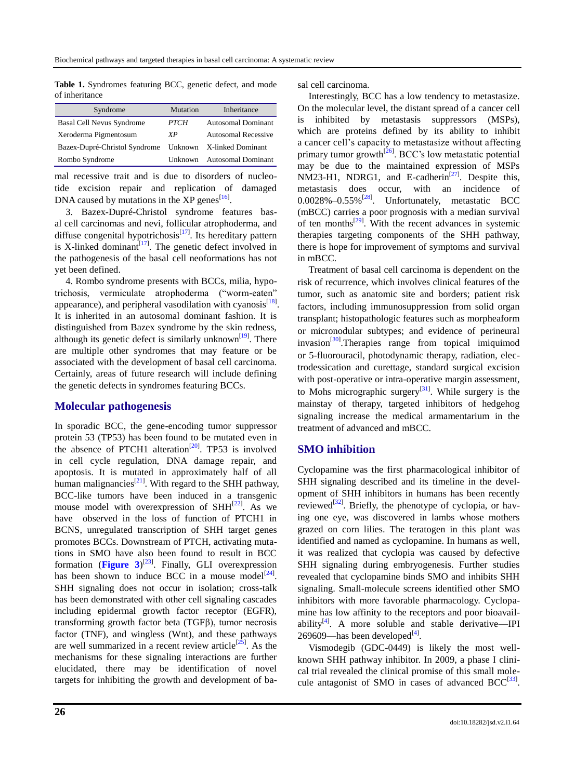**Table 1.** Syndromes featuring BCC, genetic defect, and mode of inheritance

| Syndrome                         | Mutation    | Inheritance                |
|----------------------------------|-------------|----------------------------|
| <b>Basal Cell Nevus Syndrome</b> | <b>PTCH</b> | <b>Autosomal Dominant</b>  |
| Xeroderma Pigmentosum            | XP          | <b>Autosomal Recessive</b> |
| Bazex-Dupré-Christol Syndrome    |             | Unknown X-linked Dominant  |
| Rombo Syndrome                   | Unknown     | <b>Autosomal Dominant</b>  |

mal recessive trait and is due to disorders of nucleotide excision repair and replication of damaged DNA caused by mutations in the XP genes $^{[16]}$  $^{[16]}$  $^{[16]}$ .

3. Bazex-Dupré-Christol syndrome features basal cell carcinomas and nevi, follicular atrophoderma, and diffuse congenital hypotrichosis<sup>[\[17\]](#page-8-6)</sup>. Its hereditary pattern is X-linked dominant<sup>[\[17\]](#page-8-6)</sup>. The genetic defect involved in the pathogenesis of the basal cell neoformations has not yet been defined.

4. Rombo syndrome presents with BCCs, milia, hypotrichosis, vermiculate atrophoderma ("worm-eaten" appearance), and peripheral vasodilation with cyanosis $^{[18]}$  $^{[18]}$  $^{[18]}$ . It is inherited in an autosomal dominant fashion. It is distinguished from Bazex syndrome by the skin redness, although its genetic defect is similarly unknown<sup>[\[19\]](#page-8-8)</sup>. There are multiple other syndromes that may feature or be associated with the development of basal cell carcinoma. Certainly, areas of future research will include defining the genetic defects in syndromes featuring BCCs.

#### **Molecular pathogenesis**

In sporadic BCC, the gene-encoding tumor suppressor protein 53 (TP53) has been found to be mutated even in the absence of PTCH1 alteration<sup>[\[20\]](#page-8-9)</sup>. TP53 is involved in cell cycle regulation, DNA damage repair, and apoptosis. It is mutated in approximately half of all human malignancies $^{[21]}$  $^{[21]}$  $^{[21]}$ . With regard to the SHH pathway, BCC-like tumors have been induced in a transgenic mouse model with overexpression of  $SHH^{[22]}$  $SHH^{[22]}$  $SHH^{[22]}$ . As we have observed in the loss of function of PTCH1 in BCNS, unregulated transcription of SHH target genes promotes BCCs. Downstream of PTCH, activating mutations in SMO have also been found to result in BCC formation ([Figure 3](#page-5-0))<sup>[\[23\]](#page-8-12)</sup>. Finally, GLI overexpression has been shown to induce BCC in a mouse model<sup>[\[24\]](#page-8-13)</sup>. SHH signaling does not occur in isolation; cross-talk has been demonstrated with other cell signaling cascades including epidermal growth factor receptor (EGFR), transforming growth factor beta (TGFβ), tumor necrosis factor (TNF), and wingless (Wnt), and these pathways are well summarized in a recent review article<sup>[\[25\]](#page-8-14)</sup>. As the mechanisms for these signaling interactions are further elucidated, there may be identification of novel targets for inhibiting the growth and development of basal cell carcinoma.

Interestingly, BCC has a low tendency to metastasize. On the molecular level, the distant spread of a cancer cell is inhibited by metastasis suppressors (MSPs), which are proteins defined by its ability to inhibit a cancer cell's capacity to metastasize without affecting primary tumor growth<sup>[\[26\]](#page-8-15)</sup>. BCC's low metastatic potential may be due to the maintained expression of MSPs NM23-H1, NDRG1, and E-cadherin<sup>[\[27\]](#page-8-16)</sup>. Despite this, metastasis does occur, with an incidence of  $0.0028\% - 0.55\%$ <sup>[\[28\]](#page-8-17)</sup>. Unfortunately, metastatic BCC (mBCC) carries a poor prognosis with a median survival of ten months<sup>[\[29\]](#page-8-18)</sup>. With the recent advances in systemic therapies targeting components of the SHH pathway, there is hope for improvement of symptoms and survival in mBCC.

Treatment of basal cell carcinoma is dependent on the risk of recurrence, which involves clinical features of the tumor, such as anatomic site and borders; patient risk factors, including immunosuppression from solid organ transplant; histopathologic features such as morpheaform or micronodular subtypes; and evidence of perineural invasion<sup>[\[30\]](#page-8-19)</sup>.Therapies range from topical imiquimod or 5-fluorouracil, photodynamic therapy, radiation, electrodessication and curettage, standard surgical excision with post-operative or intra-operative margin assessment, to Mohs micrographic surgery<sup>[\[31\]](#page-8-20)</sup>. While surgery is the mainstay of therapy, targeted inhibitors of hedgehog signaling increase the medical armamentarium in the treatment of advanced and mBCC.

#### **SMO inhibition**

Cyclopamine was the first pharmacological inhibitor of SHH signaling described and its timeline in the development of SHH inhibitors in humans has been recently reviewed<sup>[\[32\]](#page-8-21)</sup>. Briefly, the phenotype of cyclopia, or having one eye, was discovered in lambs whose mothers grazed on corn lilies. The teratogen in this plant was identified and named as cyclopamine. In humans as well, it was realized that cyclopia was caused by defective SHH signaling during embryogenesis. Further studies revealed that cyclopamine binds SMO and inhibits SHH signaling. Small-molecule screens identified other SMO inhibitors with more favorable pharmacology. Cyclopamine has low affinity to the receptors and poor bioavailability $[4]$ . A more soluble and stable derivative-IPI 269609—has been developed $^{[4]}$  $^{[4]}$  $^{[4]}$ .

Vismodegib (GDC-0449) is likely the most wellknown SHH pathway inhibitor. In 2009, a phase I clinical trial revealed the clinical promise of this small molecule antagonist of SMO in cases of advanced  $BCC^{[33]}$  $BCC^{[33]}$  $BCC^{[33]}$ .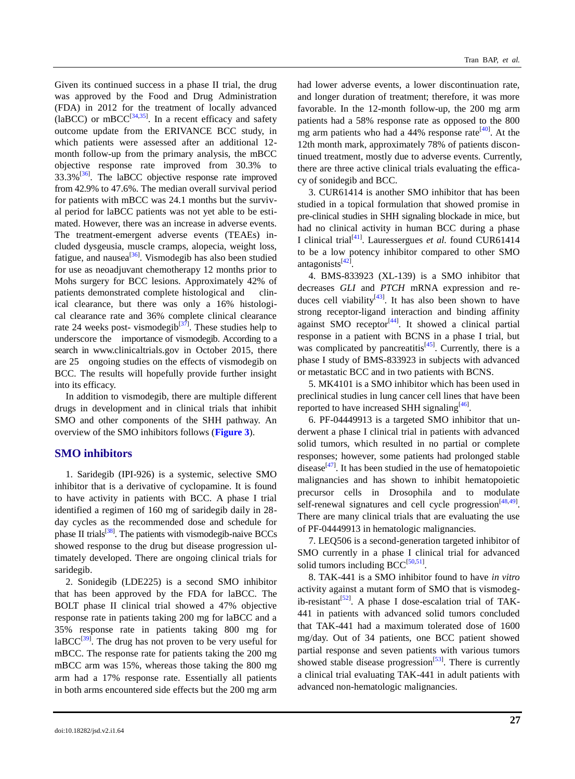Given its continued success in a phase II trial, the drug was approved by the Food and Drug Administration (FDA) in 2012 for the treatment of locally advanced (laBCC) or mBCC<sup>[\[34,](#page-9-0)[35\]](#page-9-1)</sup>. In a recent efficacy and safety outcome update from the ERIVANCE BCC study, in which patients were assessed after an additional 12 month follow-up from the primary analysis, the mBCC objective response rate improved from 30.3% to  $33.3\%$ <sup>[\[36\]](#page-9-2)</sup>. The laBCC objective response rate improved from 42.9% to 47.6%. The median overall survival period for patients with mBCC was 24.1 months but the survival period for laBCC patients was not yet able to be estimated. However, there was an increase in adverse events. The treatment-emergent adverse events (TEAEs) included dysgeusia, muscle cramps, alopecia, weight loss, fatigue, and nausea<sup>[\[36\]](#page-9-2)</sup>. Vismodegib has also been studied for use as neoadjuvant chemotherapy 12 months prior to Mohs surgery for BCC lesions. Approximately 42% of patients demonstrated complete histological and clinical clearance, but there was only a 16% histological clearance rate and 36% complete clinical clearance rate 24 weeks post- vismodegib<sup>[\[37\]](#page-9-3)</sup>. These studies help to underscore the importance of vismodegib. According to a search in www.clinicaltrials.gov in October 2015, there are 25 ongoing studies on the effects of vismodegib on BCC. The results will hopefully provide further insight into its efficacy.

In addition to vismodegib, there are multiple different drugs in development and in clinical trials that inhibit SMO and other components of the SHH pathway. An overview of the SMO inhibitors follows (**[Figure 3](#page-5-0)**).

#### **SMO inhibitors**

1. Saridegib (IPI-926) is a systemic, selective SMO inhibitor that is a derivative of cyclopamine. It is found to have activity in patients with BCC. A phase I trial identified a regimen of 160 mg of saridegib daily in 28 day cycles as the recommended dose and schedule for phase II trials<sup>[\[38\]](#page-9-4)</sup>. The patients with vismodegib-naive BCCs showed response to the drug but disease progression ultimately developed. There are ongoing clinical trials for saridegib.

2. Sonidegib (LDE225) is a second SMO inhibitor that has been approved by the FDA for laBCC. The BOLT phase II clinical trial showed a 47% objective response rate in patients taking 200 mg for laBCC and a 35% response rate in patients taking 800 mg for  $laBCC^{[39]}$  $laBCC^{[39]}$  $laBCC^{[39]}$ . The drug has not proven to be very useful for mBCC. The response rate for patients taking the 200 mg mBCC arm was 15%, whereas those taking the 800 mg arm had a 17% response rate. Essentially all patients in both arms encountered side effects but the 200 mg arm

had lower adverse events, a lower discontinuation rate, and longer duration of treatment; therefore, it was more favorable. In the 12-month follow-up, the 200 mg arm patients had a 58% response rate as opposed to the 800 mg arm patients who had a  $44\%$  response rate<sup>[\[40\]](#page-9-6)</sup>. At the 12th month mark, approximately 78% of patients discontinued treatment, mostly due to adverse events. Currently, there are three active clinical trials evaluating the efficacy of sonidegib and BCC.

3. CUR61414 is another SMO inhibitor that has been studied in a topical formulation that showed promise in pre-clinical studies in SHH signaling blockade in mice, but had no clinical activity in human BCC during a phase I clinical trial[\[41\]](#page-9-7) . Lauressergues *et al.* found CUR61414 to be a low potency inhibitor compared to other SMO antagonists<sup>[\[42\]](#page-9-8)</sup>.

4. BMS-833923 (XL-139) is a SMO inhibitor that decreases *GLI* and *PTCH* mRNA expression and re-duces cell viability<sup>[\[43\]](#page-9-9)</sup>. It has also been shown to have strong receptor-ligand interaction and binding affinity against SMO receptor<sup>[\[44\]](#page-9-10)</sup>. It showed a clinical partial response in a patient with BCNS in a phase I trial, but was complicated by pancreatitis $[45]$ . Currently, there is a phase I study of BMS-833923 in subjects with advanced or metastatic BCC and in two patients with BCNS.

5. MK4101 is a SMO inhibitor which has been used in preclinical studies in lung cancer cell lines that have been reported to have increased SHH signaling<sup>[\[46\]](#page-9-12)</sup>.

6. PF-04449913 is a targeted SMO inhibitor that underwent a phase I clinical trial in patients with advanced solid tumors, which resulted in no partial or complete responses; however, some patients had prolonged stable disease $[47]$ . It has been studied in the use of hematopoietic malignancies and has shown to inhibit hematopoietic precursor cells in Drosophila and to modulate self-renewal signatures and cell cycle progression $[48,49]$  $[48,49]$ . There are many clinical trials that are evaluating the use of PF-04449913 in hematologic malignancies.

7. LEQ506 is a second-generation targeted inhibitor of SMO currently in a phase I clinical trial for advanced solid tumors including  $BCC^{[50,51]}$  $BCC^{[50,51]}$  $BCC^{[50,51]}$  $BCC^{[50,51]}$ .

8. TAK-441 is a SMO inhibitor found to have *in vitro* activity against a mutant form of SMO that is vismodeg-ib-resistant<sup>[\[52\]](#page-9-18)</sup>. A phase I dose-escalation trial of TAK-441 in patients with advanced solid tumors concluded that TAK-441 had a maximum tolerated dose of 1600 mg/day. Out of 34 patients, one BCC patient showed partial response and seven patients with various tumors showed stable disease progression<sup>[\[53\]](#page-10-0)</sup>. There is currently a clinical trial evaluating TAK-441 in adult patients with advanced non-hematologic malignancies.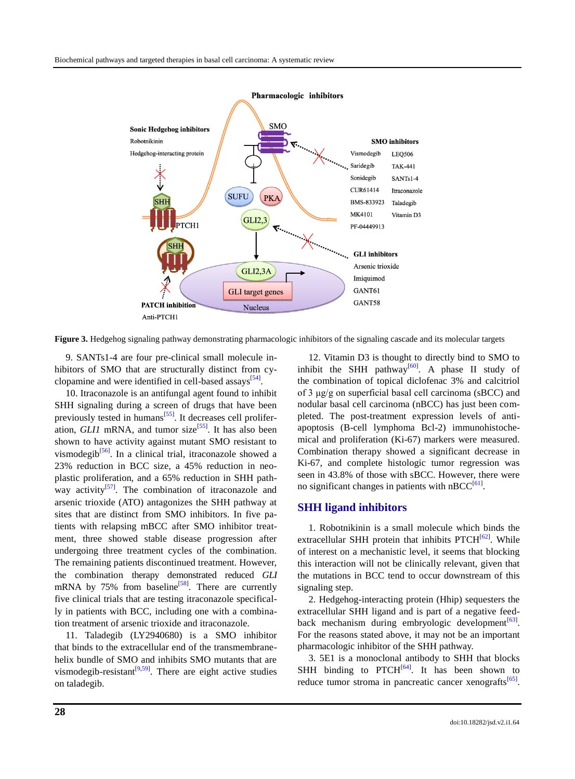<span id="page-5-0"></span>

**Figure 3.** Hedgehog signaling pathway demonstrating pharmacologic inhibitors of the signaling cascade and its molecular targets

9. SANTs1-4 are four pre-clinical small molecule inhibitors of SMO that are structurally distinct from cy-clopamine and were identified in cell-based assays<sup>[\[54\]](#page-10-1)</sup>.

10. Itraconazole is an antifungal agent found to inhibit SHH signaling during a screen of drugs that have been previously tested in humans<sup>[\[55\]](#page-10-2)</sup>. It decreases cell proliferation, *GLI1* mRNA, and tumor size<sup>[\[55\]](#page-10-2)</sup>. It has also been shown to have activity against mutant SMO resistant to vismodegib<sup>[\[56\]](#page-10-3)</sup>. In a clinical trial, itraconazole showed a 23% reduction in BCC size, a 45% reduction in neoplastic proliferation, and a 65% reduction in SHH path-way activity<sup>[\[57\]](#page-10-4)</sup>. The combination of itraconazole and arsenic trioxide (ATO) antagonizes the SHH pathway at sites that are distinct from SMO inhibitors. In five patients with relapsing mBCC after SMO inhibitor treatment, three showed stable disease progression after undergoing three treatment cycles of the combination. The remaining patients discontinued treatment. However, the combination therapy demonstrated reduced *GLI* mRNA by  $75\%$  from baseline<sup>[\[58\]](#page-10-5)</sup>. There are currently five clinical trials that are testing itraconazole specifically in patients with BCC, including one with a combination treatment of arsenic trioxide and itraconazole.

11. Taladegib (LY2940680) is a SMO inhibitor that binds to the extracellular end of the transmembranehelix bundle of SMO and inhibits SMO mutants that are vismodegib-resistant<sup>[\[9,](#page-7-6)[59\]](#page-10-6)</sup>. There are eight active studies on taladegib.

12. Vitamin D3 is thought to directly bind to SMO to inhibit the SHH pathway<sup>[\[60\]](#page-10-7)</sup>. A phase II study of the combination of topical diclofenac 3% and calcitriol of 3 μg/g on superficial basal cell carcinoma (sBCC) and nodular basal cell carcinoma (nBCC) has just been completed. The post-treatment expression levels of antiapoptosis (B-cell lymphoma Bcl-2) immunohistochemical and proliferation (Ki-67) markers were measured. Combination therapy showed a significant decrease in Ki-67, and complete histologic tumor regression was seen in 43.8% of those with sBCC. However, there were no significant changes in patients with  $nBCC^{[61]}$  $nBCC^{[61]}$  $nBCC^{[61]}$ .

#### **SHH ligand inhibitors**

1. Robotnikinin is a small molecule which binds the extracellular SHH protein that inhibits PTCH<sup>[\[62\]](#page-10-9)</sup>. While of interest on a mechanistic level, it seems that blocking this interaction will not be clinically relevant, given that the mutations in BCC tend to occur downstream of this signaling step.

2. Hedgehog-interacting protein (Hhip) sequesters the extracellular SHH ligand and is part of a negative feed-back mechanism during embryologic development<sup>[\[63\]](#page-10-10)</sup>. For the reasons stated above, it may not be an important pharmacologic inhibitor of the SHH pathway.

3. 5E1 is a monoclonal antibody to SHH that blocks SHH binding to  $PTCH<sup>[64]</sup>$  $PTCH<sup>[64]</sup>$  $PTCH<sup>[64]</sup>$ . It has been shown to reduce tumor stroma in pancreatic cancer xenografts $[65]$ .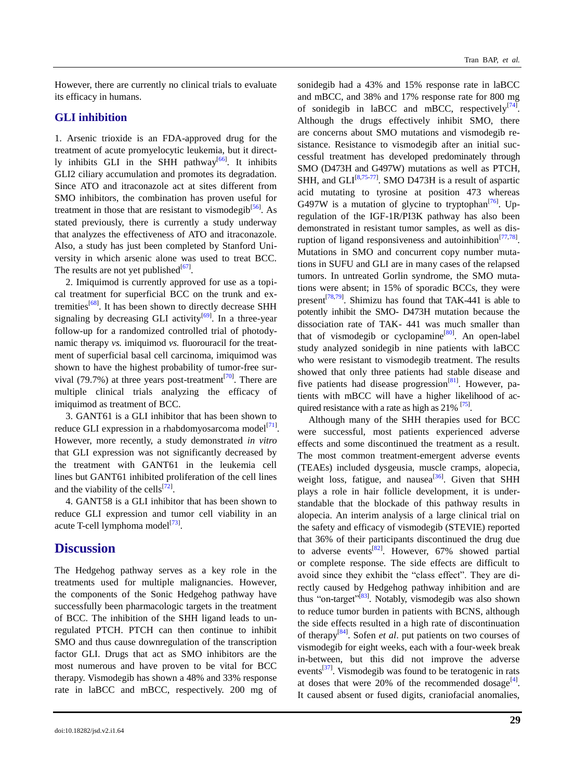However, there are currently no clinical trials to evaluate its efficacy in humans.

#### **GLI inhibition**

1. Arsenic trioxide is an FDA-approved drug for the treatment of acute promyelocytic leukemia, but it direct-ly inhibits GLI in the SHH pathway<sup>[\[66\]](#page-10-13)</sup>. It inhibits GLI2 ciliary accumulation and promotes its degradation. Since ATO and itraconazole act at sites different from SMO inhibitors, the combination has proven useful for treatment in those that are resistant to vismodegib<sup>[\[56\]](#page-10-3)</sup>. As stated previously, there is currently a study underway that analyzes the effectiveness of ATO and itraconazole. Also, a study has just been completed by Stanford University in which arsenic alone was used to treat BCC. The results are not yet published $^{[67]}$  $^{[67]}$  $^{[67]}$ .

2. Imiquimod is currently approved for use as a topical treatment for superficial BCC on the trunk and ex-tremities<sup>[\[68\]](#page-10-15)</sup>. It has been shown to directly decrease SHH signaling by decreasing GLI activity<sup>[\[69\]](#page-10-16)</sup>. In a three-year follow-up for a randomized controlled trial of photodynamic therapy *vs.* imiquimod *vs.* fluorouracil for the treatment of superficial basal cell carcinoma, imiquimod was shown to have the highest probability of tumor-free sur-vival (79.7%) at three years post-treatment<sup>[\[70\]](#page-10-17)</sup>. There are multiple clinical trials analyzing the efficacy of imiquimod as treatment of BCC.

3. GANT61 is a GLI inhibitor that has been shown to reduce GLI expression in a rhabdomyosarcoma model $^{[71]}$  $^{[71]}$  $^{[71]}$ . However, more recently, a study demonstrated *in vitro* that GLI expression was not significantly decreased by the treatment with GANT61 in the leukemia cell lines but GANT61 inhibited proliferation of the cell lines and the viability of the cells $^{[72]}$  $^{[72]}$  $^{[72]}$ .

4. GANT58 is a GLI inhibitor that has been shown to reduce GLI expression and tumor cell viability in an acute T-cell lymphoma model<sup>[\[73\]](#page-10-20)</sup>.

### **Discussion**

The Hedgehog pathway serves as a key role in the treatments used for multiple malignancies. However, the components of the Sonic Hedgehog pathway have successfully been pharmacologic targets in the treatment of BCC. The inhibition of the SHH ligand leads to unregulated PTCH. PTCH can then continue to inhibit SMO and thus cause downregulation of the transcription factor GLI. Drugs that act as SMO inhibitors are the most numerous and have proven to be vital for BCC therapy. Vismodegib has shown a 48% and 33% response rate in laBCC and mBCC, respectively. 200 mg of sonidegib had a 43% and 15% response rate in laBCC and mBCC, and 38% and 17% response rate for 800 mg of sonidegib in laBCC and mBCC, respectively $[74]$ . Although the drugs effectively inhibit SMO, there are concerns about SMO mutations and vismodegib resistance. Resistance to vismodegib after an initial successful treatment has developed predominately through SMO (D473H and G497W) mutations as well as PTCH, SHH, and GLI $^{[8,75-77]}$  $^{[8,75-77]}$  $^{[8,75-77]}$  $^{[8,75-77]}$ . SMO D473H is a result of aspartic acid mutating to tyrosine at position 473 whereas G497W is a mutation of glycine to tryptophan $^{[76]}$  $^{[76]}$  $^{[76]}$ . Upregulation of the IGF-1R/PI3K pathway has also been demonstrated in resistant tumor samples, as well as dis-ruption of ligand responsiveness and autoinhibition<sup>[\[77,](#page-11-2)[78\]](#page-11-4)</sup>. Mutations in SMO and concurrent copy number mutations in SUFU and GLI are in many cases of the relapsed tumors. In untreated Gorlin syndrome, the SMO mutations were absent; in 15% of sporadic BCCs, they were present<sup>[\[78,](#page-11-4)[79\]](#page-11-5)</sup>. Shimizu has found that TAK-441 is able to potently inhibit the SMO- D473H mutation because the dissociation rate of TAK- 441 was much smaller than that of vismodegib or cyclopamine<sup>[\[80\]](#page-11-6)</sup>. An open-label study analyzed sonidegib in nine patients with laBCC who were resistant to vismodegib treatment. The results showed that only three patients had stable disease and five patients had disease progression<sup>[\[81\]](#page-11-7)</sup>. However, patients with mBCC will have a higher likelihood of acquired resistance with a rate as high as  $21\%$   $^{[75]}$  $^{[75]}$  $^{[75]}$ .

Although many of the SHH therapies used for BCC were successful, most patients experienced adverse effects and some discontinued the treatment as a result. The most common treatment-emergent adverse events (TEAEs) included dysgeusia, muscle cramps, alopecia, weight loss, fatigue, and nausea<sup>[\[36\]](#page-9-2)</sup>. Given that SHH plays a role in hair follicle development, it is understandable that the blockade of this pathway results in alopecia. An interim analysis of a large clinical trial on the safety and efficacy of vismodegib (STEVIE) reported that 36% of their participants discontinued the drug due to adverse events<sup>[\[82\]](#page-11-8)</sup>. However,  $67\%$  showed partial or complete response. The side effects are difficult to avoid since they exhibit the "class effect". They are directly caused by Hedgehog pathway inhibition and are thus "on-target"<sup>[\[83\]](#page-11-9)</sup>. Notably, vismodegib was also shown to reduce tumor burden in patients with BCNS, although the side effects resulted in a high rate of discontinuation of therapy[\[84\]](#page-11-10) . Sofen *et al*. put patients on two courses of vismodegib for eight weeks, each with a four-week break in-between, but this did not improve the adverse events<sup>[\[37\]](#page-9-3)</sup>. Vismodegib was found to be teratogenic in rats at doses that were 20% of the recommended dosage $^{[4]}$  $^{[4]}$  $^{[4]}$ . It caused absent or fused digits, craniofacial anomalies,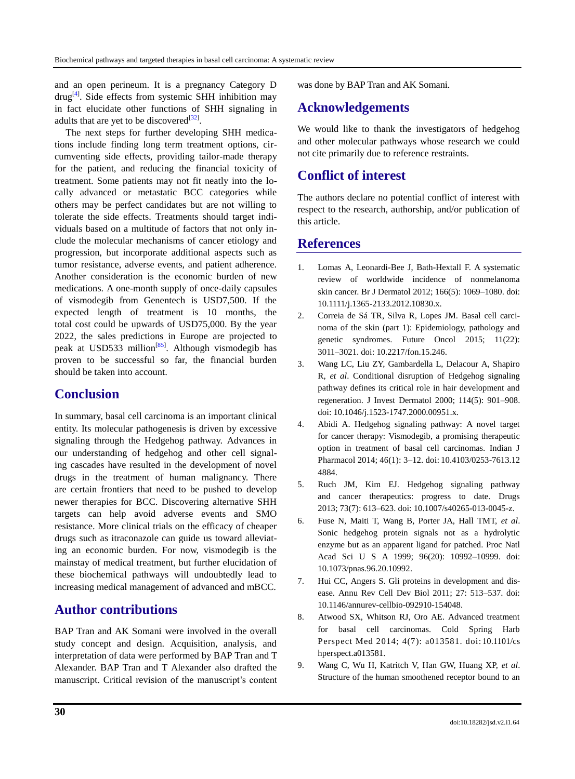and an open perineum. It is a pregnancy Category D drug<sup>[\[4\]](#page-7-3)</sup>. Side effects from systemic SHH inhibition may in fact elucidate other functions of SHH signaling in adults that are yet to be discovered $^{[32]}$  $^{[32]}$  $^{[32]}$ .

The next steps for further developing SHH medications include finding long term treatment options, circumventing side effects, providing tailor-made therapy for the patient, and reducing the financial toxicity of treatment. Some patients may not fit neatly into the locally advanced or metastatic BCC categories while others may be perfect candidates but are not willing to tolerate the side effects. Treatments should target individuals based on a multitude of factors that not only include the molecular mechanisms of cancer etiology and progression, but incorporate additional aspects such as tumor resistance, adverse events, and patient adherence. Another consideration is the economic burden of new medications. A one-month supply of once-daily capsules of vismodegib from Genentech is USD7,500. If the expected length of treatment is 10 months, the total cost could be upwards of USD75,000. By the year 2022, the sales predictions in Europe are projected to peak at USD533 million<sup>[\[85\]](#page-11-11)</sup>. Although vismodegib has proven to be successful so far, the financial burden should be taken into account.

### **Conclusion**

In summary, basal cell carcinoma is an important clinical entity. Its molecular pathogenesis is driven by excessive signaling through the Hedgehog pathway. Advances in our understanding of hedgehog and other cell signaling cascades have resulted in the development of novel drugs in the treatment of human malignancy. There are certain frontiers that need to be pushed to develop newer therapies for BCC. Discovering alternative SHH targets can help avoid adverse events and SMO resistance. More clinical trials on the efficacy of cheaper drugs such as itraconazole can guide us toward alleviating an economic burden. For now, vismodegib is the mainstay of medical treatment, but further elucidation of these biochemical pathways will undoubtedly lead to increasing medical management of advanced and mBCC.

# **Author contributions**

BAP Tran and AK Somani were involved in the overall study concept and design. Acquisition, analysis, and interpretation of data were performed by BAP Tran and T Alexander. BAP Tran and T Alexander also drafted the manuscript. Critical revision of the manuscript's content was done by BAP Tran and AK Somani.

# **Acknowledgements**

We would like to thank the investigators of hedgehog and other molecular pathways whose research we could not cite primarily due to reference restraints.

# **Conflict of interest**

The authors declare no potential conflict of interest with respect to the research, authorship, and/or publication of this article.

### **References**

- <span id="page-7-0"></span>1. Lomas A, Leonardi-Bee J, Bath-Hextall F. A systematic review of worldwide incidence of nonmelanoma skin cancer. Br J Dermatol 2012; 166(5): 1069–1080. doi: 10.1111/j.1365-2133.2012.10830.x.
- <span id="page-7-1"></span>2. Correia de Sá TR, Silva R, Lopes JM. Basal cell carcinoma of the skin (part 1): Epidemiology, pathology and genetic syndromes. Future Oncol 2015; 11(22): 3011–3021. doi: 10.2217/fon.15.246.
- <span id="page-7-2"></span>3. Wang LC, Liu ZY, Gambardella L, Delacour A, Shapiro R, *et al*. Conditional disruption of Hedgehog signaling pathway defines its critical role in hair development and regeneration. J Invest Dermatol 2000; 114(5): 901–908. doi: 10.1046/j.1523-1747.2000.00951.x.
- <span id="page-7-3"></span>4. Abidi A. Hedgehog signaling pathway: A novel target for cancer therapy: Vismodegib, a promising therapeutic option in treatment of basal cell carcinomas. Indian J Pharmacol 2014; 46(1): 3–12. doi: 10.4103/0253-7613.12 4884.
- <span id="page-7-4"></span>5. Ruch JM, Kim EJ. Hedgehog signaling pathway and cancer therapeutics: progress to date. Drugs 2013; 73(7): 613–623. doi: 10.1007/s40265-013-0045-z.
- <span id="page-7-5"></span>6. Fuse N, Maiti T, Wang B, Porter JA, Hall TMT, *et al*. Sonic hedgehog protein signals not as a hydrolytic enzyme but as an apparent ligand for patched. Proc Natl Acad Sci U S A 1999; 96(20): 10992–10999. doi: 10.1073/pnas.96.20.10992.
- 7. Hui CC, Angers S. Gli proteins in development and disease. Annu Rev Cell Dev Biol 2011; 27: 513–537. doi: 10.1146/annurev-cellbio-092910-154048.
- 8. Atwood SX, Whitson RJ, Oro AE. Advanced treatment for basal cell carcinomas. Cold Spring Harb Perspect Med 2014; 4(7): a013581. doi: 10.1101/cs hperspect.a013581.
- <span id="page-7-6"></span>9. Wang C, Wu H, Katritch V, Han GW, Huang XP, *et al*. Structure of the human smoothened receptor bound to an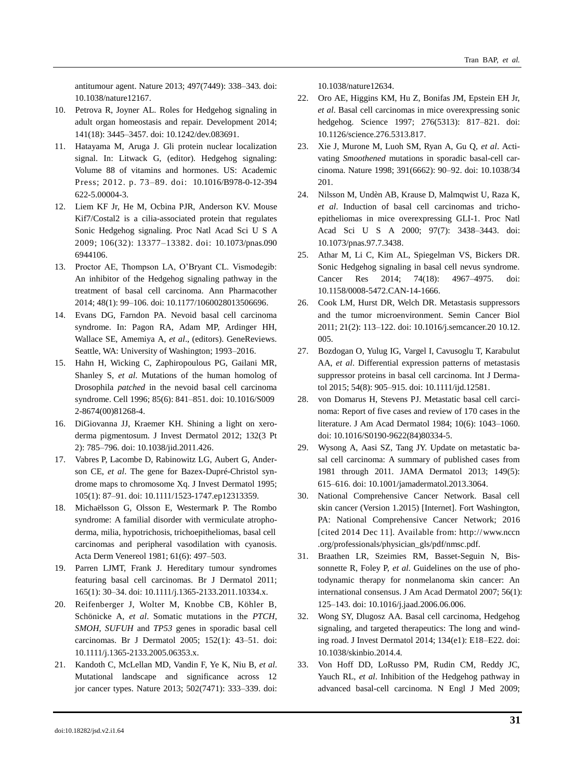antitumour agent. Nature 2013; 497(7449): 338–343. doi: 10.1038/nature12167.

- 10. Petrova R, Joyner AL. Roles for Hedgehog signaling in adult organ homeostasis and repair. Development 2014; 141(18): 3445–3457. doi: 10.1242/dev.083691.
- <span id="page-8-0"></span>11. Hatayama M, Aruga J. Gli protein nuclear localization signal. In: Litwack G, (editor). Hedgehog signaling: Volume 88 of vitamins and hormones. US: Academic Press; 2012. p. 73–89. doi: 10.1016/B978-0-12-394 622-5.00004-3.
- <span id="page-8-1"></span>12. Liem KF Jr, He M, Ocbina PJR, Anderson KV. Mouse Kif7/Costal2 is a cilia-associated protein that regulates Sonic Hedgehog signaling. Proc Natl Acad Sci U S A 2009; 106(32): 13377–13382. doi: 10.1073/pnas.090 6944106.
- <span id="page-8-2"></span>13. Proctor AE, Thompson LA, O'Bryant CL. Vismodegib: An inhibitor of the Hedgehog signaling pathway in the treatment of basal cell carcinoma. Ann Pharmacother 2014; 48(1): 99–106. doi: 10.1177/1060028013506696.
- <span id="page-8-3"></span>14. Evans DG, Farndon PA. Nevoid basal cell carcinoma syndrome. In: Pagon RA, Adam MP, Ardinger HH, Wallace SE, Amemiya A, *et al*., (editors). GeneReviews. Seattle, WA: University of Washington; 1993–2016.
- <span id="page-8-4"></span>15. Hahn H, Wicking C, Zaphiropoulous PG, Gailani MR, Shanley S, *et al*. Mutations of the human homolog of Drosophila *patched* in the nevoid basal cell carcinoma syndrome. Cell 1996; 85(6): 841–851. doi: 10.1016/S009 2-8674(00)81268-4.
- <span id="page-8-5"></span>16. DiGiovanna JJ, Kraemer KH. Shining a light on xeroderma pigmentosum. J Invest Dermatol 2012; 132(3 Pt 2): 785–796. doi: 10.1038/jid.2011.426.
- <span id="page-8-6"></span>17. Vabres P, Lacombe D, Rabinowitz LG, Aubert G, Anderson CE, *et al*. The gene for Bazex-Dupré-Christol syndrome maps to chromosome Xq. J Invest Dermatol 1995; 105(1): 87–91. doi: 10.1111/1523-1747.ep12313359.
- <span id="page-8-7"></span>18. Michaëlsson G, Olsson E, Westermark P. The Rombo syndrome: A familial disorder with vermiculate atrophoderma, milia, hypotrichosis, trichoepitheliomas, basal cell carcinomas and peripheral vasodilation with cyanosis. Acta Derm Venereol 1981; 61(6): 497–503.
- <span id="page-8-8"></span>19. Parren LJMT, Frank J. Hereditary tumour syndromes featuring basal cell carcinomas. Br J Dermatol 2011; 165(1): 30–34. doi: 10.1111/j.1365-2133.2011.10334.x.
- <span id="page-8-9"></span>20. Reifenberger J, Wolter M, Knobbe CB, Köhler B, Schönicke A, *et al*. Somatic mutations in the *PTCH*, *SMOH*, *SUFUH* and *TP53* genes in sporadic basal cell carcinomas. Br J Dermatol 2005; 152(1): 43–51. doi: 10.1111/j.1365-2133.2005.06353.x.
- <span id="page-8-10"></span>21. Kandoth C, McLellan MD, Vandin F, Ye K, Niu B, *et al*. Mutational landscape and significance across 12 jor cancer types. Nature 2013; 502(7471): 333–339. doi:

<span id="page-8-11"></span>10.1038/nature12634.

- 22. Oro AE, Higgins KM, Hu Z, Bonifas JM, Epstein EH Jr, *et al*. Basal cell carcinomas in mice overexpressing sonic hedgehog. Science 1997; 276(5313): 817–821. doi: 10.1126/science.276.5313.817.
- <span id="page-8-12"></span>23. Xie J, Murone M, Luoh SM, Ryan A, Gu Q, *et al*. Activating *Smoothened* mutations in sporadic basal-cell carcinoma. Nature 1998; 391(6662): 90–92. doi: 10.1038/34 201.
- <span id="page-8-13"></span>24. Nilsson M, Undèn AB, Krause D, Malmqwist U, Raza K, *et al*. Induction of basal cell carcinomas and trichoepitheliomas in mice overexpressing GLI-1. Proc Natl Acad Sci USA 2000; 97(7): 3438–3443. doi: 10. 1073/pnas.97.7.3438.
- <span id="page-8-14"></span>25. Athar M, Li C, Kim AL, Spiegelman VS, Bickers DR. Sonic Hedgehog signaling in basal cell nevus syndrome. Cancer Res 2014; 74(18): 4967–4975. doi: 10.1158/0008-5472.CAN-14-1666.
- <span id="page-8-15"></span>26. Cook LM, Hurst DR, Welch DR. Metastasis suppressors and the tumor microenvironment. Semin Cancer Biol 2011; 21(2): 113–122. doi: 10.1016/j.semcancer.2010.12. 005.
- <span id="page-8-16"></span>27. Bozdogan O, Yulug IG, Vargel I, Cavusoglu T, Karabulut AA, *et al*. Differential expression patterns of metastasis suppressor proteins in basal cell carcinoma. Int J Dermatol 2015; 54(8): 905–915. doi: 10.1111/ijd.12581.
- <span id="page-8-17"></span>28. von Domarus H, Stevens PJ. Metastatic basal cell carcinoma: Report of five cases and review of 170 cases in the literature. J Am Acad Dermatol 1984; 10(6): 1043–1060. doi: 10.1016/S0190-9622(84)80334-5.
- <span id="page-8-18"></span>29. Wysong A, Aasi SZ, Tang JY. Update on metastatic basal cell carcinoma: A summary of published cases from 1981 through 2011. JAMA Dermatol 2013; 149(5): 615–616. doi: 10.1001/jamadermatol.2013.3064.
- <span id="page-8-19"></span>30. National Comprehensive Cancer Network. Basal cell skin cancer (Version 1.2015) [Internet]. Fort Washington, PA: National Comprehensive Cancer Network; 2016 [cited 2014 Dec 11]. Available from: http://www.nccn .org/professionals/physician\_gls/pdf/nmsc.pdf.
- <span id="page-8-20"></span>31. Braathen LR, Szeimies RM, Basset-Seguin N, Bissonnette R, Foley P, *et al*. Guidelines on the use of photodynamic therapy for nonmelanoma skin cancer: An international consensus. J Am Acad Dermatol 2007; 56(1): 125–143. doi: 10.1016/j.jaad.2006.06.006.
- <span id="page-8-21"></span>32. Wong SY, Dlugosz AA. Basal cell carcinoma, Hedgehog signaling, and targeted therapeutics: The long and winding road. J Invest Dermatol 2014; 134(e1): E18–E22. doi: 10.1038/skinbio.2014.4.
- <span id="page-8-22"></span>33. Von Hoff DD, LoRusso PM, Rudin CM, Reddy JC, Yauch RL, *et al*. Inhibition of the Hedgehog pathway in advanced basal-cell carcinoma. N Engl J Med 2009;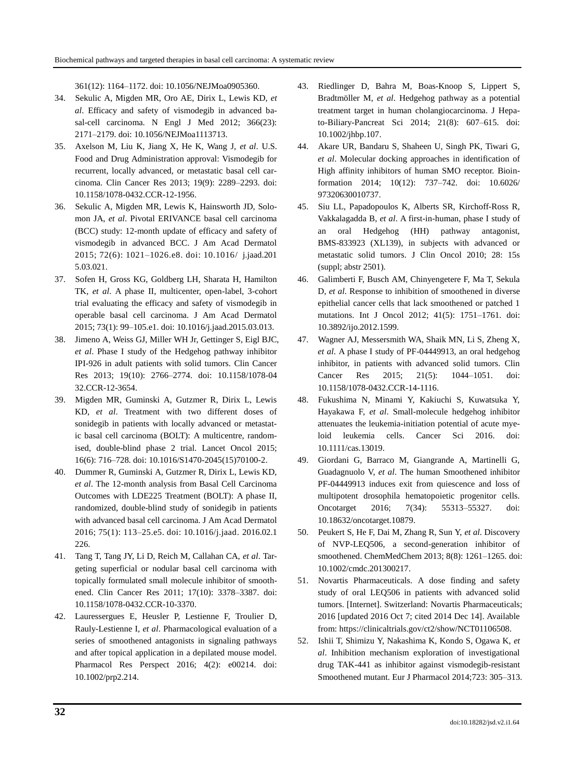<span id="page-9-0"></span>361(12): 1164–1172. doi: 10.1056/NEJMoa0905360.

- 34. Sekulic A, Migden MR, Oro AE, Dirix L, Lewis KD, *et al*. Efficacy and safety of vismodegib in advanced basal-cell carcinoma. N Engl J Med 2012; 366(23): 2171–2179. doi: 10.1056/NEJMoa1113713.
- <span id="page-9-1"></span>35. Axelson M, Liu K, Jiang X, He K, Wang J, *et al*. U.S. Food and Drug Administration approval: Vismodegib for recurrent, locally advanced, or metastatic basal cell carcinoma. Clin Cancer Res 2013; 19(9): 2289–2293. doi: 10.1158/1078-0432.CCR-12-1956.
- <span id="page-9-2"></span>36. Sekulic A, Migden MR, Lewis K, Hainsworth JD, Solomon JA, *et al*. Pivotal ERIVANCE basal cell carcinoma (BCC) study: 12-month update of efficacy and safety of vismodegib in advanced BCC. J Am Acad Dermatol 2015; 72(6): 1021–1026.e8. doi: 10.1016/ j.jaad.201 5.03.021.
- <span id="page-9-3"></span>37. Sofen H, Gross KG, Goldberg LH, Sharata H, Hamilton TK, *et al*. A phase II, multicenter, open-label, 3-cohort trial evaluating the efficacy and safety of vismodegib in operable basal cell carcinoma. J Am Acad Dermatol 2015; 73(1): 99–105.e1. doi: 10.1016/j.jaad.2015.03.013.
- <span id="page-9-4"></span>38. Jimeno A, Weiss GJ, Miller WH Jr, Gettinger S, Eigl BJC, *et al*. Phase I study of the Hedgehog pathway inhibitor IPI-926 in adult patients with solid tumors. Clin Cancer Res 2013; 19(10): 2766–2774. doi: 10.1158/1078-04 32.CCR-12-3654.
- <span id="page-9-5"></span>39. Migden MR, Guminski A, Gutzmer R, Dirix L, Lewis KD, *et al*. Treatment with two different doses of sonidegib in patients with locally advanced or metastatic basal cell carcinoma (BOLT): A multicentre, randomised, double-blind phase 2 trial. Lancet Oncol 2015; 16(6): 716–728. doi: 10.1016/S1470-2045(15)70100-2.
- <span id="page-9-6"></span>40. Dummer R, Guminski A, Gutzmer R, Dirix L, Lewis KD, *et al*. The 12-month analysis from Basal Cell Carcinoma Outcomes with LDE225 Treatment (BOLT): A phase II, randomized, double-blind study of sonidegib in patients with advanced basal cell carcinoma. J Am Acad Dermatol 2016; 75(1): 113–25.e5. doi: 10.1016/j.jaad. 2016.02.1 226.
- <span id="page-9-7"></span>41. Tang T, Tang JY, Li D, Reich M, Callahan CA, *et al*. Targeting superficial or nodular basal cell carcinoma with topically formulated small molecule inhibitor of smoothened. Clin Cancer Res 2011; 17(10): 3378–3387. doi: 10.1158/1078-0432.CCR-10-3370.
- <span id="page-9-8"></span>42. Lauressergues E, Heusler P, Lestienne F, Troulier D, Rauly-Lestienne I, *et al*. Pharmacological evaluation of a series of smoothened antagonists in signaling pathways and after topical application in a depilated mouse model. Pharmacol Res Perspect 2016; 4(2): e00214. doi: 10.1002/prp2.214.
- <span id="page-9-9"></span>43. Riedlinger D, Bahra M, Boas-Knoop S, Lippert S, Bradtmöller M, *et al*. Hedgehog pathway as a potential treatment target in human cholangiocarcinoma. J Hepato-Biliary-Pancreat Sci 2014; 21(8): 607–615. doi: 10.1002/jhbp.107.
- <span id="page-9-10"></span>44. Akare UR, Bandaru S, Shaheen U, Singh PK, Tiwari G, *et al*. Molecular docking approaches in identification of High affinity inhibitors of human SMO receptor. Bioinformation 2014; 10(12): 737–742. doi: 10.6026/ 97320630010737.
- <span id="page-9-11"></span>45. Siu LL, Papadopoulos K, Alberts SR, Kirchoff-Ross R, Vakkalagadda B, *et al*. A first-in-human, phase I study of an oral Hedgehog (HH) pathway antagonist, BMS-833923 (XL139), in subjects with advanced or metastatic solid tumors. J Clin Oncol 2010; 28: 15s (suppl; abstr 2501).
- <span id="page-9-12"></span>46. Galimberti F, Busch AM, Chinyengetere F, Ma T, Sekula D, *et al*. Response to inhibition of smoothened in diverse epithelial cancer cells that lack smoothened or patched 1 mutations. Int J Oncol 2012; 41(5): 1751–1761. doi: 10.3892/ijo.2012.1599.
- <span id="page-9-13"></span>47. Wagner AJ, Messersmith WA, Shaik MN, Li S, Zheng X, *et al*. A phase I study of PF-04449913, an oral hedgehog inhibitor, in patients with advanced solid tumors. Clin Cancer Res 2015; 21(5): 1044–1051. doi: 10.1158/1078-0432.CCR-14-1116.
- <span id="page-9-14"></span>48. Fukushima N, Minami Y, Kakiuchi S, Kuwatsuka Y, Hayakawa F, *et al*. Small-molecule hedgehog inhibitor attenuates the leukemia-initiation potential of acute myeloid leukemia cells. Cancer Sci 2016. doi: 10.1111/cas.13019.
- <span id="page-9-15"></span>49. Giordani G, Barraco M, Giangrande A, Martinelli G, Guadagnuolo V, *et al*. The human Smoothened inhibitor PF-04449913 induces exit from quiescence and loss of multipotent drosophila hematopoietic progenitor cells. Oncotarget 2016; 7(34): 55313–55327. doi: 10.18632/oncotarget.10879.
- <span id="page-9-16"></span>50. Peukert S, He F, Dai M, Zhang R, Sun Y, *et al*. Discovery of NVP-LEQ506, a second-generation inhibitor of smoothened. ChemMedChem 2013; 8(8): 1261–1265. doi: 10.1002/cmdc.201300217.
- <span id="page-9-17"></span>51. Novartis Pharmaceuticals. A dose finding and safety study of oral LEQ506 in patients with advanced solid tumors. [Internet]. Switzerland: Novartis Pharmaceuticals; 2016 [updated 2016 Oct 7; cited 2014 Dec 14]. Available from: https://clinicaltrials.gov/ct2/show/NCT01106508.
- <span id="page-9-18"></span>52. Ishii T, Shimizu Y, Nakashima K, Kondo S, Ogawa K, *et al*. Inhibition mechanism exploration of investigational drug TAK-441 as inhibitor against vismodegib-resistant Smoothened mutant. Eur J Pharmacol 2014;723: 305–313.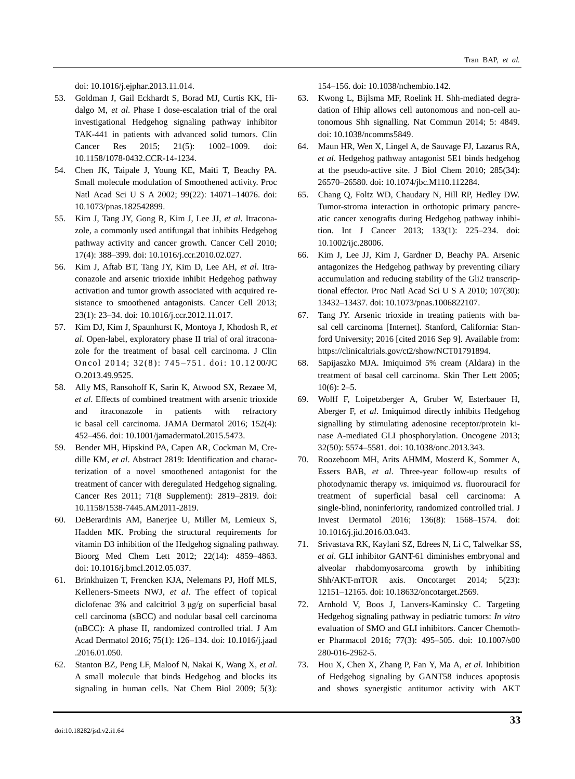<span id="page-10-0"></span>doi: 10.1016/j.ejphar.2013.11.014.

- 53. Goldman J, Gail Eckhardt S, Borad MJ, Curtis KK, Hidalgo M, *et al*. Phase I dose-escalation trial of the oral investigational Hedgehog signaling pathway inhibitor TAK-441 in patients with advanced solid tumors. Clin Cancer Res 2015; 21(5): 1002–1009. doi: 10.1158/1078-0432.CCR-14-1234.
- <span id="page-10-1"></span>54. Chen JK, Taipale J, Young KE, Maiti T, Beachy PA. Small molecule modulation of Smoothened activity. Proc Natl Acad Sci U S A 2002; 99(22): 14071–14076. doi: 10.1073/pnas.182542899.
- <span id="page-10-2"></span>55. Kim J, Tang JY, Gong R, Kim J, Lee JJ, *et al*. Itraconazole, a commonly used antifungal that inhibits Hedgehog pathway activity and cancer growth. Cancer Cell 2010; 17(4): 388–399. doi: 10.1016/j.ccr.2010.02.027.
- <span id="page-10-3"></span>56. Kim J, Aftab BT, Tang JY, Kim D, Lee AH, *et al*. Itraconazole and arsenic trioxide inhibit Hedgehog pathway activation and tumor growth associated with acquired resistance to smoothened antagonists. Cancer Cell 2013; 23(1): 23–34. doi: 10.1016/j.ccr.2012.11.017.
- <span id="page-10-4"></span>57. Kim DJ, Kim J, Spaunhurst K, Montoya J, Khodosh R, *et al*. Open-label, exploratory phase II trial of oral itraconazole for the treatment of basal cell carcinoma. J Clin Oncol 2014; 32(8): 745-751. doi: 10.1200/JC O.2013.49.9525.
- <span id="page-10-5"></span>58. Ally MS, Ransohoff K, Sarin K, Atwood SX, Rezaee M, *et al*. Effects of combined treatment with arsenic trioxide and itraconazole in patients with refractory ic basal cell carcinoma. JAMA Dermatol 2016; 152(4): 452–456. doi: 10.1001/jamadermatol.2015.5473.
- <span id="page-10-6"></span>59. Bender MH, Hipskind PA, Capen AR, Cockman M, Credille KM, *et al*. Abstract 2819: Identification and characterization of a novel smoothened antagonist for the treatment of cancer with deregulated Hedgehog signaling. Cancer Res 2011; 71(8 Supplement): 2819–2819. doi: 10.1158/1538-7445.AM2011-2819.
- <span id="page-10-7"></span>60. DeBerardinis AM, Banerjee U, Miller M, Lemieux S, Hadden MK. Probing the structural requirements for vitamin D3 inhibition of the Hedgehog signaling pathway. Bioorg Med Chem Lett 2012; 22(14): 4859–4863. doi: 10.1016/j.bmcl.2012.05.037.
- <span id="page-10-8"></span>61. Brinkhuizen T, Frencken KJA, Nelemans PJ, Hoff MLS, Kelleners-Smeets NWJ, *et al*. The effect of topical diclofenac 3% and calcitriol 3 μg/g on superficial basal cell carcinoma (sBCC) and nodular basal cell carcinoma (nBCC): A phase II, randomized controlled trial. J Am Acad Dermatol 2016; 75(1): 126–134. doi: 10.1016/j.jaad .2016.01.050.
- <span id="page-10-9"></span>62. Stanton BZ, Peng LF, Maloof N, Nakai K, Wang X, *et al*. A small molecule that binds Hedgehog and blocks its signaling in human cells. Nat Chem Biol 2009; 5(3):

<span id="page-10-10"></span>154–156. doi: 10.1038/nchembio.142.

- 63. Kwong L, Bijlsma MF, Roelink H. Shh-mediated degradation of Hhip allows cell autonomous and non-cell autonomous Shh signalling. Nat Commun 2014; 5: 4849. doi: 10.1038/ncomms5849.
- <span id="page-10-11"></span>64. Maun HR, Wen X, Lingel A, de Sauvage FJ, Lazarus RA, *et al*. Hedgehog pathway antagonist 5E1 binds hedgehog at the pseudo-active site. J Biol Chem 2010; 285(34): 26570–26580. doi: 10.1074/jbc.M110.112284.
- <span id="page-10-12"></span>65. Chang Q, Foltz WD, Chaudary N, Hill RP, Hedley DW. Tumor-stroma interaction in orthotopic primary pancreatic cancer xenografts during Hedgehog pathway inhibition. Int J Cancer 2013; 133(1): 225–234. doi: 10.1002/ijc.28006.
- <span id="page-10-13"></span>66. Kim J, Lee JJ, Kim J, Gardner D, Beachy PA. Arsenic antagonizes the Hedgehog pathway by preventing ciliary accumulation and reducing stability of the Gli2 transcriptional effector. Proc Natl Acad Sci U S A 2010; 107(30): 13432–13437. doi: 10.1073/pnas.1006822107.
- <span id="page-10-14"></span>67. Tang JY. Arsenic trioxide in treating patients with basal cell carcinoma [Internet]. Stanford, California: Stanford University; 2016 [cited 2016 Sep 9]. Available from: https://clinicaltrials.gov/ct2/show/NCT01791894.
- <span id="page-10-15"></span>68. Sapijaszko MJA. Imiquimod 5% cream (Aldara) in the treatment of basal cell carcinoma. Skin Ther Lett 2005;  $10(6)$ : 2–5.
- <span id="page-10-16"></span>69. Wolff F, Loipetzberger A, Gruber W, Esterbauer H, Aberger F, *et al*. Imiquimod directly inhibits Hedgehog signalling by stimulating adenosine receptor/protein kinase A-mediated GLI phosphorylation. Oncogene 2013; 32(50): 5574–5581. doi: 10.1038/onc.2013.343.
- <span id="page-10-17"></span>70. Roozeboom MH, Arits AHMM, Mosterd K, Sommer A, Essers BAB, *et al*. Three-year follow-up results of photodynamic therapy *vs*. imiquimod *vs*. fluorouracil for treatment of superficial basal cell carcinoma: A single-blind, noninferiority, randomized controlled trial. J Invest Dermatol 2016; 136(8): 1568–1574. doi: 10.1016/j.jid.2016.03.043.
- <span id="page-10-18"></span>71. Srivastava RK, Kaylani SZ, Edrees N, Li C, Talwelkar SS, *et al*. GLI inhibitor GANT-61 diminishes embryonal and alveolar rhabdomyosarcoma growth by inhibiting Shh/AKT-mTOR axis. Oncotarget 2014; 5(23): 12151–12165. doi: 10.18632/oncotarget.2569.
- <span id="page-10-19"></span>72. Arnhold V, Boos J, Lanvers-Kaminsky C. Targeting Hedgehog signaling pathway in pediatric tumors: *In vitro* evaluation of SMO and GLI inhibitors. Cancer Chemother Pharmacol 2016; 77(3): 495–505. doi: 10.1007/s00 280-016-2962-5.
- <span id="page-10-20"></span>73. Hou X, Chen X, Zhang P, Fan Y, Ma A, *et al*. Inhibition of Hedgehog signaling by GANT58 induces apoptosis and shows synergistic antitumor activity with AKT